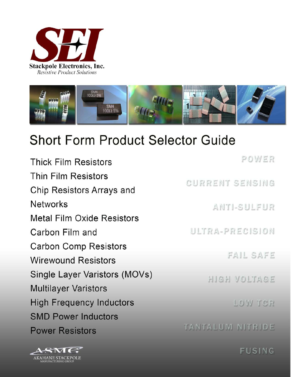



# **Short Form Product Selector Guide**

| POWER            |
|------------------|
| CURRENT SENSING  |
|                  |
| ANTI-SULFUR      |
|                  |
| ULTRA-PRECISION  |
|                  |
| FAIL SAFE        |
| HIGH VOLTAGE     |
|                  |
| LOW TCR          |
|                  |
| TANTALUM NITRIDE |
|                  |



**FUSING**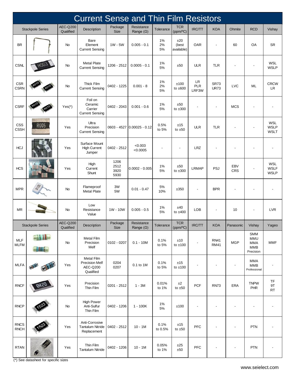|                            |                         |                              | <b>Current Sense and Thin Film Resistors</b>                        |                              |                                |                   |                            |                           |                            |                              |                                                     |                                          |
|----------------------------|-------------------------|------------------------------|---------------------------------------------------------------------|------------------------------|--------------------------------|-------------------|----------------------------|---------------------------|----------------------------|------------------------------|-----------------------------------------------------|------------------------------------------|
|                            | <b>Stackpole Series</b> | <b>AEC-Q200</b><br>Qualified | Description                                                         | Package<br><b>Size</b>       | Resistance<br>Range $(\Omega)$ | Tolerance         | <b>TCR</b><br>(ppm/°C)     | IRC/TT                    | <b>KOA</b>                 | Ohmite                       | <b>RCD</b>                                          | Vishay                                   |
| <b>BR</b>                  |                         | No                           | Bare<br>Element<br><b>Current Sensing</b>                           | 1W - 5W                      | $0.005 - 0.1$                  | 1%<br>2%<br>5%    | ±20<br>(best<br>available) | <b>OAR</b>                | ٠                          | 60                           | OA                                                  | <b>SR</b>                                |
| <b>CSNL</b>                |                         | No                           | <b>Metal Plate</b><br><b>Current Sensing</b>                        | 1206 - 2512                  | $0.0005 - 0.1$                 | $1\%$<br>5%       | ±50                        | <b>ULR</b>                | <b>TLR</b>                 |                              |                                                     | <b>WSL</b><br><b>WSLP</b>                |
| CSR<br><b>CSRN</b>         |                         | No                           | Thick Film<br><b>Current Sensing</b>                                | 0402 - 1225                  | $0.001 - 8$                    | $1\%$<br>2%<br>5% | ±100<br>to $±600$          | LR<br><b>PLR</b><br>LRF3W | <b>SR73</b><br><b>UR73</b> | <b>LVC</b>                   | ML                                                  | <b>CRCW</b><br>LR.                       |
| <b>CSRF</b>                |                         | $Yes(*)$                     | Foil on<br>Ceramic<br>Carrier<br><b>Current Sensing</b>             | 0402 - 2043                  | $0.001 - 0.6$                  | $1\%$<br>5%       | ±50<br>to $±300$           |                           |                            | <b>MCS</b>                   |                                                     |                                          |
| CSS<br><b>CSSH</b>         | R005                    | Yes                          | Ultra<br>Precision<br><b>Current Sensing</b>                        |                              | 0603 - 4527 0.00025 - 0.12     | 0.5%<br>to 5%     | ±15<br>to $±50$            | <b>ULR</b>                | <b>TLR</b>                 |                              |                                                     | <b>WSL</b><br><b>WSLP</b><br><b>WSLT</b> |
| <b>HCJ</b>                 |                         | Yes                          | Surface Mount<br><b>High Current</b><br>Jumper                      | 0402 - 2512                  | < 0.003<br>< 0.0005            |                   | $\blacksquare$             | <b>LRZ</b>                |                            |                              |                                                     |                                          |
| <b>HCS</b>                 |                         | Yes                          | High<br>Current<br>Shunt                                            | 1206<br>2512<br>3920<br>5930 | $0.0002 - 0.005$               | 1%<br>5%          | ±50<br>to $\pm 300$        | <b>LRMAP</b>              | PSJ                        | <b>EBV</b><br>CRS            |                                                     | <b>WSL</b><br><b>WSLF</b><br><b>WSLP</b> |
| <b>MPR</b>                 |                         | No                           | Flameproof<br><b>Metal Plate</b>                                    | 3W<br>5W                     | $0.01 - 0.47$                  | 5%<br>10%         | ±350                       |                           | <b>BPR</b>                 |                              |                                                     |                                          |
| <b>MR</b>                  |                         | No                           | Low<br>Resistance<br>Value                                          | 1W - 10W                     | $0.005 - 0.5$                  | $1\%$<br>5%       | ±40<br>to $±400$           | LOB                       |                            | 10                           |                                                     | <b>LVR</b>                               |
|                            | <b>Stackpole Series</b> | AEC-Q200<br>Qualified        | Description                                                         | Package<br><b>Size</b>       | Resistance<br>Range $(\Omega)$ | Tolerance         | <b>TCR</b><br>(ppm/°C)     | IRC/TT                    | <b>KOA</b>                 | Panasonic                    | Vishay                                              | Yageo                                    |
| MLF<br><b>MLFM</b>         | an III<br><b>HILL</b>   | No                           | <b>Metal Film</b><br>Precision<br>Melf                              | 0102 - 0207                  | $0.1 - 10M$                    | 0.1%<br>to 5%     | ±10<br>to $±100$           |                           | <b>RN41</b><br><b>RM41</b> | <b>MGP</b>                   | <b>SMM</b><br>MMU<br>MMA<br><b>MMB</b><br>Precision | <b>MMF</b>                               |
| <b>MLFA</b>                | 西北亚<br>FULL             | Yes                          | <b>Metal Film</b><br><b>Precision Melf</b><br>AEC-Q200<br>Qualified | 0204<br>0207                 | 0.1 to 1M                      | 0.1%<br>to 5%     | ±15<br>to $±100$           |                           |                            | $\overline{\phantom{a}}$     | MMA<br><b>MMB</b><br>Professional                   |                                          |
| <b>RNCF</b>                | <b>BKSD</b>             | Yes                          | Precision<br>Thin Film                                              | $0201 - 2512$                | $1 - 3M$                       | 0.01%<br>to 1%    | ±2<br>to $±50$             | <b>PCF</b>                | <b>RN73</b>                | ERA                          | <b>TNPW</b><br>PHR                                  | TF<br>9T<br><b>RT</b>                    |
| <b>RNCP</b>                |                         | $No$                         | <b>High Power</b><br>Anti-Sulfur<br>Thin Film                       | 0402 - 1206                  | $1 - 100K$                     | $1\%$<br>5%       | ±100                       |                           |                            |                              |                                                     |                                          |
| <b>RNCS</b><br><b>RNCH</b> |                         | Yes                          | Anti-Corrosive<br><b>Tantalum Nitride</b><br>Replacement            | 0402 - 2512                  | $10 - 1M$                      | 0.1%<br>to 0.5%   | ±15<br>to $±50$            | PFC                       |                            | $\overline{\phantom{a}}$     | PTN                                                 |                                          |
| <b>RTAN</b>                | $\blacklozenge$         | Yes                          | Thin Film<br><b>Tantalum Nitride</b>                                | 0402 - 1206                  | $10 - 1M$                      | 0.05%<br>to 1%    | $\pm 25$<br>±50            | PFC                       |                            | $\qquad \qquad \blacksquare$ | PTN                                                 |                                          |

(\*) See datasheet for specific sizes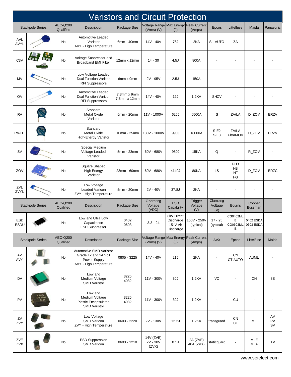|                    | <b>Varistors and Circuit Protection</b> |                              |                                                                                           |                             |                                                         |                                                  |                           |                            |                              |                                 |                |  |  |
|--------------------|-----------------------------------------|------------------------------|-------------------------------------------------------------------------------------------|-----------------------------|---------------------------------------------------------|--------------------------------------------------|---------------------------|----------------------------|------------------------------|---------------------------------|----------------|--|--|
|                    | <b>Stackpole Series</b>                 | AEC-Q200<br>Qualified        | Description                                                                               | Package Size                | Voltage Range Max Energy Peak Current<br>$(Vrms)$ $(V)$ | (J)                                              | (Amps)                    | Epcos                      | Littelfuse                   | Maida                           | Panasonic      |  |  |
| <b>AVL</b><br>AVYL |                                         | No                           | Automotive Leaded<br>Varistor<br>AVY - High Temperature                                   | 6mm - 40mm                  | 14V - 40V                                               | 76J                                              | 2KA                       | S - AUTO                   | ΖA                           |                                 |                |  |  |
| C <sub>3</sub> V   |                                         | <b>No</b>                    | Voltage Suppressor and<br><b>Broadband EMI Filter</b>                                     | 12mm x 12mm                 | $14 - 30$                                               | 4.5J                                             | 800A                      | ÷,                         |                              |                                 |                |  |  |
| MV                 |                                         | No                           | Low Voltage Leaded<br><b>Dual Function Varicon</b><br><b>RFI Suppressors</b>              | 6mm x 9mm                   | 2V - 95V                                                | 2.5J                                             | 150A                      |                            |                              |                                 |                |  |  |
| OV                 |                                         | No                           | Automotive Leaded<br><b>Dual Function Varicon</b><br><b>RFI Suppressors</b>               | 7.3mm x 9mm<br>7.8mm x 12mm | 14V - 40V                                               | 12J                                              | 1.2KA                     | <b>SHCV</b>                |                              |                                 |                |  |  |
| <b>RV</b>          |                                         | No                           | Standard<br><b>Metal Oxide</b><br>Varistor                                                | 5mm - 20mm                  | 11V - 1000V                                             | 625J                                             | 6500A                     | S                          | ZA/LA                        | D_ZOV                           | <b>ERZV</b>    |  |  |
| RV-HE              |                                         | No                           | Standard<br>Metal Oxide<br>High-Energy Varistor                                           | 10mm - 25mm                 | 130V - 1000V                                            | 990J                                             | 18000A                    | $S-E2$<br>$S-E3$           | ZA/LA<br><b>UltraMOV</b>     | D_ZOV                           | <b>ERZV</b>    |  |  |
| <b>SV</b>          |                                         | No                           | Special Medium<br>Voltage Leaded<br>Varistor                                              | 5mm - 23mm                  | 60V - 680V                                              | 980J                                             | 15KA                      | Q                          | $\blacksquare$               | R_ZOV                           |                |  |  |
| ZOV                |                                         | No                           | Square Shaped<br><b>High Energy</b><br>Varistor                                           | 23mm - 60mm                 | 60V - 680V                                              | 4140J                                            | <b>80KA</b>               | LS                         | <b>DHB</b><br>HB<br>HF<br>HG | D_ZOV                           | <b>ERZC</b>    |  |  |
| ZVL<br>ZVYL        |                                         | No                           | Low Voltage<br>Leaded Varicon<br>ZVY - High Temperature                                   | 5mm - 20mm                  | $2V - 40V$                                              | 37.8J                                            | 2KA                       |                            |                              |                                 |                |  |  |
|                    | <b>Stackpole Series</b>                 | <b>AEC-Q200</b><br>Qualified | Description                                                                               | Package Size                | Operating<br>Voltage<br>(VDC)                           | <b>ESD</b><br>Capability                         | Trigger<br>Voltage<br>(V) | Clamping<br>Voltage<br>(V) | <b>Bourns</b>                | Cooper<br><b>Bussman</b>        |                |  |  |
| ESD<br>ESDU        |                                         | No                           | Low and Ultra Low<br>Capacitance<br><b>ESD Suppressor</b>                                 | 0402<br>0603                | $3.3 - 24$                                              | 8kV Direct<br>Discharge<br>15kV Air<br>Discharge | 150V - 250V<br>(typical)  | $17 - 25$<br>(typical)     | CG0402ML<br>Ε<br>E           | 0402 ESDA<br>CG0603ML 0603 ESDA |                |  |  |
|                    | <b>Stackpole Series</b>                 | <b>AEC-Q200</b><br>Qualified | Description                                                                               | Package Size                | Voltage Range Max Energy<br>$(Vrms)$ $(V)$              | (J)                                              | Peak Current<br>(Amps)    | <b>AVX</b>                 | <b>Epcos</b>                 | Littelfuse                      | Maida          |  |  |
| AV<br>AVY          |                                         | No                           | Automotive SMD Varistor<br>Grade 12 and 24 Volt<br>Power Supply<br>AVY - High Temperature | 0805 - 3225                 | 14V - 40V                                               | 21J                                              | 2KA                       | $\overline{\phantom{a}}$   | <b>CN</b><br>CT AUTO         | <b>AUML</b>                     |                |  |  |
| <b>DV</b>          |                                         | <b>No</b>                    | Low and<br>Medium Voltage<br><b>SMD Varistor</b>                                          | 3225<br>4032                | 11V - 300V                                              | 30J                                              | 1.2KA                     | VC                         |                              | CH                              | 8S             |  |  |
| <b>PV</b>          | <b>KEKO</b><br>PV 35 K<br>4032          | No                           | Low and<br>Medium Voltage<br>Plastic Encapsulated<br><b>SMD Varistor</b>                  | 3225<br>4032                | 11V - 300V                                              | 30J                                              | 1.2KA                     | ł,                         | CU                           |                                 |                |  |  |
| ZV<br>ZVY          |                                         | No                           | Low Voltage<br>SMD Varicon<br>ZVY - High Temperature                                      | 0603 - 2220                 | 2V - 130V                                               | 12.2J                                            | 1.2KA                     | transguard                 | CN<br>СT                     | ML                              | AV<br>PV<br>SV |  |  |
| ZVE<br><b>ZVX</b>  |                                         | No                           | <b>ESD Suppression</b><br><b>SMD Varicon</b>                                              | 0603 - 1210                 | 14V (ZVE)<br>2V - 30V<br>(ZVX)                          | 0.1J                                             | 2A (ZVE)<br>40A (ZVX)     | staticguard                | $\overline{\phantom{a}}$     | <b>MLE</b><br><b>MLA</b>        | TV             |  |  |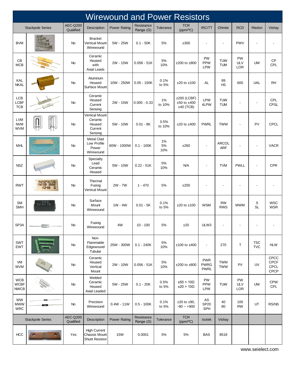|                                          | <b>Wirewound and Power Resistors</b>                                                                                                                                                                                                                                                                                                                                                              |                              |                                                                  |                     |                                |                 |                                               |                                          |                            |                                |                          |                                     |  |
|------------------------------------------|---------------------------------------------------------------------------------------------------------------------------------------------------------------------------------------------------------------------------------------------------------------------------------------------------------------------------------------------------------------------------------------------------|------------------------------|------------------------------------------------------------------|---------------------|--------------------------------|-----------------|-----------------------------------------------|------------------------------------------|----------------------------|--------------------------------|--------------------------|-------------------------------------|--|
|                                          | <b>Stackpole Series</b>                                                                                                                                                                                                                                                                                                                                                                           | <b>AEC-Q200</b><br>Qualified | Description                                                      | <b>Power Rating</b> | Resistance<br>Range $(\Omega)$ | Tolerance       | <b>TCR</b><br>(ppm/°C)                        | IRC/TT                                   | Ohmite                     | <b>RCD</b>                     | Riedon                   | Vishay                              |  |
| <b>BVM</b>                               |                                                                                                                                                                                                                                                                                                                                                                                                   | No                           | <b>Bracket</b><br><b>Vertical Mount</b><br>Wirewound             | 5W - 25W            | $0.1 - 50K$                    | 5%              | ±300                                          |                                          | $\overline{\phantom{a}}$   | <b>PWV</b>                     |                          |                                     |  |
| CB<br><b>MCB</b>                         |                                                                                                                                                                                                                                                                                                                                                                                                   | No                           | Ceramic<br>Housed<br>with<br>Axial Leads                         | 2W - 15W            | $0.056 - 51K$                  | 5%<br>10%       | $±200$ to $±800$                              | PW<br><b>PPW</b><br><b>LPW</b>           | <b>TUW</b><br><b>TUM</b>   | PW<br><b>ULV</b><br>LOR        | <b>UW</b>                | CP<br>CPL                           |  |
| KAL<br><b>NKAL</b>                       |                                                                                                                                                                                                                                                                                                                                                                                                   | No                           | Aluminum<br>Housed<br>Surface Mount                              | 10W - 250W          | $0.05 - 150K$                  | 0.1%<br>to 5%   | $±20$ to $±100$                               | AL                                       | 89<br>HS                   | 600                            | <b>UAL</b>               | <b>RH</b>                           |  |
| <b>LCB</b><br><b>LCBF</b><br><b>TCB</b>  |                                                                                                                                                                                                                                                                                                                                                                                                   | No                           | Ceramic<br>Housed<br>Current<br>Sensing                          | 2W - 15W            | $0.005 - 0.33$                 | 1%<br>to 10%    | $±200$ (LCBF)<br>$±50$ to $±400$<br>±40 (TCB) | LPW<br>4LPW                              | <b>TUW</b><br><b>TUM</b>   |                                |                          | CPL<br><b>CPSL</b>                  |  |
| <b>LVM</b><br><b>NVM</b><br>WVM          | <b>Formal</b>                                                                                                                                                                                                                                                                                                                                                                                     | No                           | <b>Vertical Mount</b><br>Ceramic<br>Housed<br>Current<br>Sensing | 5W - 10W            | $0.01 - 8K$                    | 0.5%<br>to 10%  | $±20$ to $±400$                               | <b>PWRL</b>                              | <b>TWW</b>                 |                                | PV                       | <b>CPCL</b>                         |  |
| <b>MHL</b>                               |                                                                                                                                                                                                                                                                                                                                                                                                   | No                           | <b>Metal Clad</b><br>Low Profile<br>Power<br>Wirewound           | 60W - 1000W         | $0.1 - 100K$                   | 1%<br>5%<br>10% | ±260                                          | $\blacksquare$                           | <b>ARCOL</b><br><b>ARF</b> |                                | $\overline{a}$           | <b>VACR</b>                         |  |
| <b>NSZ</b>                               |                                                                                                                                                                                                                                                                                                                                                                                                   | No                           | Specialty<br>Lead<br>Ceramic<br>Housed                           | 5W - 10W            | $0.22 - 51K$                   | 5%<br>10%       | <b>N/A</b>                                    | ÷                                        | <b>TVM</b>                 | <b>PWLL</b>                    | $\overline{\phantom{a}}$ | <b>CPR</b>                          |  |
| <b>RWT</b>                               | <b>FUNDE 142 CM</b><br>RWT05 100J<br>$02 - 06$ C                                                                                                                                                                                                                                                                                                                                                  | No                           | Thermal<br>Fusing<br>Vertical Mount                              | 2W - 7W             | $1 - 470$                      | 5%              | ±200                                          |                                          |                            |                                |                          |                                     |  |
| <b>SM</b><br><b>SMH</b>                  | 32,40.1%                                                                                                                                                                                                                                                                                                                                                                                          | <b>No</b>                    | Surface<br>Mount<br>Wirewound                                    | $1W - 4W$           | $0.01 - 5K$                    | 0.1%<br>to 5%   | $±20$ to $±100$                               | <b>WSM</b>                               | RW<br><b>RWS</b>           | <b>MWM</b>                     | S<br><b>SL</b>           | <b>WSC</b><br><b>WSR</b>            |  |
| SP3A                                     |                                                                                                                                                                                                                                                                                                                                                                                                   | No                           | Fusing<br>Wirewound                                              | 4W                  | 10 - 100                       | 5%              | ±20                                           | ULW3                                     |                            |                                |                          |                                     |  |
| SWT<br><b>EWT</b>                        |                                                                                                                                                                                                                                                                                                                                                                                                   | No                           | Non-<br>Flammable<br>Edgewound<br>Tubular                        | 25W - 300W          | $0.1 - 240K$                   | $5\%$<br>10%    | $±100$ to $±400$                              | $\overline{\phantom{a}}$                 | 270                        | T                              | <b>TSC</b><br><b>TVC</b> | <b>HLW</b>                          |  |
| VM<br><b>MVM</b>                         | $\begin{array}{c} \sqrt{2} \, \sqrt{2} \, \sqrt{2} \, \sqrt{2} \, \sqrt{2} \, \sqrt{2} \, \sqrt{2} \, \sqrt{2} \, \sqrt{2} \, \sqrt{2} \, \sqrt{2} \, \sqrt{2} \, \sqrt{2} \, \sqrt{2} \, \sqrt{2} \, \sqrt{2} \, \sqrt{2} \, \sqrt{2} \, \sqrt{2} \, \sqrt{2} \, \sqrt{2} \, \sqrt{2} \, \sqrt{2} \, \sqrt{2} \, \sqrt{2} \, \sqrt{2} \, \sqrt{2} \, \sqrt{2} \, \sqrt{2} \, \sqrt{2} \, \sqrt{$ | No                           | Ceramic<br>Housed<br>Vertical<br>Mount                           | 2W - 10W            | $0.056 - 51K$                  | $5\%$<br>10%    | $±200$ to $±800$                              | <b>PWR</b><br><b>PWRG</b><br><b>PWRL</b> | <b>TWM</b><br><b>TWW</b>   | PV                             | UV                       | CPCC<br><b>CPCF</b><br>CPCL<br>CPCP |  |
| <b>WCB</b><br><b>WCBF</b><br><b>NWCB</b> |                                                                                                                                                                                                                                                                                                                                                                                                   | <b>No</b>                    | Welded<br>Ceramic<br>Housed<br>Axial Leaded                      | 5W - 25W            | $0.1 - 20K$                    | 0.5%<br>to 5%   | $\pm 50 < 10 \Omega$<br>±20 > 10Ω             | PW<br><b>PPW</b><br><b>LPW</b>           | <b>TUW</b>                 | <b>PW</b><br><b>ULV</b><br>LOR | <b>UW</b>                | <b>CPW</b><br>CPL                   |  |
| <b>WW</b><br><b>MWW</b><br><b>WRC</b>    |                                                                                                                                                                                                                                                                                                                                                                                                   | No                           | Precision<br>Wirewound                                           | $0.4W - 11W$        | $0.5 - 100K$                   | 0.1%<br>to 5%   | $±20$ to $±90$ ,<br>$-80 - +900$              | AS<br>SP20<br><b>SPH</b>                 | 40<br>80                   | 100<br><b>RW</b>               | UT                       | RS/NS                               |  |
|                                          | <b>Stackpole Series</b>                                                                                                                                                                                                                                                                                                                                                                           | <b>AEC-Q200</b><br>Qualified | Description                                                      | <b>Power Rating</b> | Resistance<br>Range $(\Omega)$ | Tolerance       | <b>TCR</b><br>(ppm/°C)                        | Isotek                                   | Vishay                     |                                |                          |                                     |  |
| <b>HCC</b>                               |                                                                                                                                                                                                                                                                                                                                                                                                   | Yes                          | <b>High Current</b><br>Chassis Mount<br><b>Shunt Resistor</b>    | <b>15W</b>          | 0.0001                         | 5%              | $5\%$                                         | <b>BAS</b>                               | 8518                       |                                |                          |                                     |  |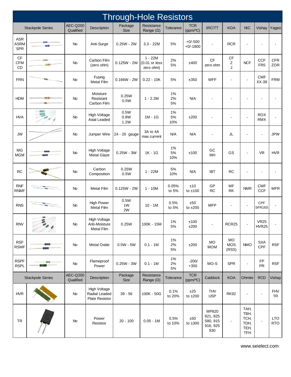|                                         | <b>Through-Hole Resistors</b> |                              |                                                        |                        |                                           |                      |                         |                                                  |                                  |                                                    |                             |                          |  |  |
|-----------------------------------------|-------------------------------|------------------------------|--------------------------------------------------------|------------------------|-------------------------------------------|----------------------|-------------------------|--------------------------------------------------|----------------------------------|----------------------------------------------------|-----------------------------|--------------------------|--|--|
|                                         | <b>Stackpole Series</b>       | <b>AEC-Q200</b><br>Qualified | Description                                            | Package<br><b>Size</b> | Resistance<br>Range $(\Omega)$            | Tolerance            | <b>TCR</b><br>(ppm/°C)  | <b>IRC/TT</b>                                    | <b>KOA</b>                       | <b>NIC</b>                                         | Vishay                      | Yageo                    |  |  |
| <b>ASR</b><br><b>ASRM</b><br><b>SPR</b> |                               | No                           | Anti-Surge                                             | $0.25W - 2W$           | $3.3 - 22M$                               | 5%                   | $+0/-500$<br>$+0/-1800$ | L,                                               | <b>RCR</b>                       | ä,                                                 |                             |                          |  |  |
| CF<br><b>CFM</b><br>CD                  |                               | <b>No</b>                    | Carbon Film<br>(zero ohm)                              | $0.125W - 2W$          | $1 - 22M$<br>$(0.01$ or less<br>zero ohm) | 2%<br>$5\%$          | ±400                    | CF<br>zero ohm                                   | $\mathsf{C}\mathsf{F}$<br>Z<br>J | <b>NCF</b>                                         | CCF<br>FR <sub>5</sub>      | <b>CFR</b><br>ZOR        |  |  |
| <b>FRN</b>                              |                               | No                           | Fusing<br><b>Metal Film</b>                            | $0.166W - 2W$          | $0.22 - 10K$                              | 5%                   | ±350                    | <b>WFF</b>                                       | $\blacksquare$                   | $\blacksquare$                                     | <b>CMF</b><br>XX-39         | <b>FRM</b>               |  |  |
| <b>HDM</b>                              |                               | No                           | Moisture<br>Resistant<br>Carbon Film                   | 0.25W<br>0.5W          | $1 - 2.2M$                                | 1%<br>2%<br>5%       | <b>N/A</b>              |                                                  |                                  | $\overline{\phantom{a}}$                           | ٠                           |                          |  |  |
| <b>HVA</b>                              | <b>REAL PROPERTY</b>          | No                           | <b>High Voltage</b><br>Axial Leaded                    | 0.5W<br>0.8W<br>1.2W   | 1M - 1G                                   | 1%<br>$5\%$<br>10%   | ±200                    |                                                  | ÷                                | $\blacksquare$                                     | <b>ROX</b><br><b>RMX</b>    |                          |  |  |
| <b>JW</b>                               |                               | No                           | Jumper Wire                                            | 24 - 20 gauge          | 3A to 4A<br>max current                   | <b>N/A</b>           | <b>N/A</b>              | -                                                | JL                               | $\overline{\phantom{a}}$                           | $\overline{\phantom{a}}$    | <b>JPW</b>               |  |  |
| MG<br><b>MGM</b>                        |                               | No                           | <b>High Voltage</b><br><b>Metal Glaze</b>              | $0.25W - 3W$           | $1K - 1G$                                 | 1%<br>5%<br>10%      | ±100                    | GC<br>MH                                         | GS                               | $\overline{\phantom{a}}$                           | <b>VR</b>                   | <b>HVR</b>               |  |  |
| <b>RC</b>                               |                               | No                           | Carbon<br>Composition                                  | 0.25W<br>0.5W          | $1 - 22M$                                 | 5%<br>10%            | <b>N/A</b>              | <b>IBT</b>                                       | <b>RC</b>                        | $\overline{a}$                                     |                             |                          |  |  |
| <b>RNF</b><br><b>RNMF</b>               |                               | No                           | <b>Metal Film</b>                                      | $0.125W - 2W$          | $1 - 10M$                                 | 0.05%<br>to 5%       | ±10<br>to $±100$        | GP<br><b>RC</b>                                  | MF<br><b>RK</b>                  | <b>NMR</b>                                         | <b>CMF</b><br>CCF           | <b>MFR</b>               |  |  |
| <b>RNS</b>                              |                               | No                           | <b>High Power</b><br><b>Metal Film</b>                 | 0.5W<br>1W<br>2W       | $10 - 1M$                                 | 0.5%<br>to 5%        | ±50<br>to $±200$        | <b>MFP</b>                                       | ÷,                               | $\blacksquare$                                     | <b>CPF</b><br>SFR16S        |                          |  |  |
| <b>RNV</b>                              | $\overline{\phantom{a}}$      | No                           | <b>High Voltage</b><br>Anti-Moisture<br>Metal Film     | 0.25W                  | 100K - 15M                                | 1%<br>$5\%$          | ±100<br>±200            |                                                  | RCR25                            |                                                    | <b>VR25</b><br><b>HVR25</b> |                          |  |  |
| <b>RSF</b><br><b>RSMF</b>               |                               | <b>No</b>                    | Metal Oxide                                            | $0.5W - 5W$            | $0.1 - 1M$                                | $1\%$<br>2%<br>$5\%$ | ±200                    | $MO$<br><b>MOM</b>                               | MO<br><b>MOS</b><br>(RSS)        | <b>NMO</b>                                         | <b>SXA</b><br>CPF           | <b>RSF</b>               |  |  |
| <b>RSPF</b><br><b>RSPL</b>              |                               | No                           | Flameproof<br>Power                                    | $0.25W - 3W$           | $0.1 - 1M$                                | $1\%$<br>2%<br>$5\%$ | $-200/$<br>$+350$       | $MO-S$                                           | <b>SPR</b>                       | $\overline{\phantom{a}}$                           | ${\sf FP}$<br>PR            | <b>RSF</b>               |  |  |
|                                         | <b>Stackpole Series</b>       | <b>AEC-Q200</b><br>Qualified | Description                                            | Package<br>Size        | Resistance<br>Range $(\Omega)$            | Tolerance            | <b>TCR</b><br>(ppm/°C)  | Caddock                                          | <b>KOA</b>                       | Ohmite                                             | <b>RCD</b>                  | Vishay                   |  |  |
| <b>HVR</b>                              |                               | No                           | <b>High Voltage</b><br>Radial Leaded<br>Plate Resistor | $39 - 56$              | 100K - 50G                                | 0.1%<br>to 20%       | ±25<br>to $\pm 200$     | <b>THV</b><br><b>USP</b>                         | <b>RK92</b>                      | $\overline{\phantom{a}}$                           | $\blacksquare$              | <b>FHV</b><br>TR         |  |  |
| <b>TR</b>                               |                               | No                           | Power<br>Resistor                                      | $20 - 100$             | $0.05 - 1M$                               | 0.5%<br>to 10%       | ±50<br>to $±300$        | MP820<br>821, 825<br>580, 915<br>916, 925<br>930 |                                  | TAH,<br>TBH,<br>TCH,<br>TDH,<br>TEH,<br><b>TFH</b> |                             | <b>LTO</b><br><b>RTO</b> |  |  |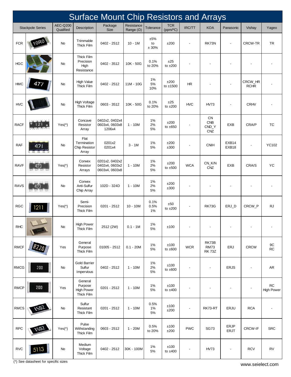|                             | <b>Surface Mount Chip Resistors and Arrays</b> |                              |                                                       |                                                    |                                |                       |                        |            |                                         |                          |                          |                                 |  |
|-----------------------------|------------------------------------------------|------------------------------|-------------------------------------------------------|----------------------------------------------------|--------------------------------|-----------------------|------------------------|------------|-----------------------------------------|--------------------------|--------------------------|---------------------------------|--|
|                             | <b>Stackpole Series</b>                        | <b>AEC-Q200</b><br>Qualified | Description                                           | Package<br><b>Size</b>                             | Resistance<br>Range $(\Omega)$ | Tolerance             | <b>TCR</b><br>(ppm/°C) | IRC/TT     | <b>KOA</b>                              | Panasonic                | Vishay                   | Yageo                           |  |
| <b>FCR</b>                  |                                                | No                           | Trimmable<br><b>Thick Film</b>                        | 0402 - 2512                                        | $10 - 1M$                      | ±5%<br>to<br>± 30%    | ±200                   |            | RK73N                                   | $\overline{a}$           | <b>CRCW-TR</b>           | <b>TR</b>                       |  |
| <b>HGC</b>                  |                                                | No                           | Thick Film<br>Precision<br>High<br>Resistance         | 0402 - 3512                                        | 10K - 50G                      | 0.1%<br>to 20%        | ±25<br>to $±200$       |            |                                         |                          |                          |                                 |  |
| <b>HMC</b>                  | 477                                            | <b>No</b>                    | <b>High Value</b><br><b>Thick Film</b>                | 0402 - 2512                                        | 11M - 10G                      | 1%<br>5%<br>10%       | ±200<br>to ±1500       | <b>HR</b>  |                                         |                          | CRCW_HR<br><b>RCHR</b>   |                                 |  |
| <b>HVC</b>                  |                                                | No                           | High Voltage<br><b>Thick Film</b>                     | 0603 - 3512                                        | 10K - 50G                      | 0.1%<br>to 20%        | ±25<br>to $±200$       | <b>HVC</b> | <b>HV73</b>                             | $\overline{a}$           | <b>CRHV</b>              |                                 |  |
| <b>RACF</b>                 |                                                | $Yes(*)$                     | Concave<br>Resistor<br>Array                          | 0402x2, 0402x4<br>0603x4, 0603x8<br>1206x4         | $1 - 10M$                      | 1%<br>2%<br>5%        | ±200<br>to $±650$      |            | CN<br><b>CNB</b><br>CND_Y<br><b>CNZ</b> | EXB                      | CRA/P                    | <b>TC</b>                       |  |
| <b>RAF</b>                  |                                                | No                           | Flat<br>Termination<br><b>Chip Resistor</b><br>Array  | 0201x2<br>0201x4                                   | $3 - 1M$                       | 1%<br>5%              | ±200<br>±300           |            | <b>CNIH</b>                             | EXB14<br>EXB18           |                          | YC102                           |  |
| <b>RAVF</b>                 |                                                | $Yes(*)$                     | Convex<br>Resistor<br>Arrays                          | 0201x2, 0402x2<br>0402x4, 0603x2<br>0603x4, 0603x8 | $1 - 10M$                      | 1%<br>2%<br>5%        | ±200<br>to $±500$      | <b>WCA</b> | CN_K/N<br>CNZ                           | EXB                      | CRA/S                    | YC                              |  |
| <b>RAVS</b>                 |                                                | No                           | Convex<br>Anti-Sulfur<br>Chip Array                   | 102D - 324D                                        | 1 - 10M                        | 1%<br>2%<br>5%        | ±200<br>±300           |            |                                         |                          |                          |                                 |  |
| <b>RGC</b>                  | 1211                                           | $Yes(*)$                     | Semi-<br>Precision<br>Thick Film                      | 0201 - 2512                                        | $10 - 10M$                     | 0.1%<br>0.5%<br>$1\%$ | ±50<br>to $±200$       |            | <b>RK73G</b>                            | ERJ_D                    | CRCW P                   | <b>RJ</b>                       |  |
| <b>RHC</b>                  |                                                | No                           | <b>High Power</b><br>Thick Film                       | 2512 (2W)                                          | $0.1 - 1M$                     | 1%<br>5%              | ±100                   |            |                                         |                          |                          |                                 |  |
| RMCF                        |                                                | Yes                          | General<br>Purpose<br>Thick Film                      | $01005 - 2512$                                     | $0.1 - 20M$                    | 1%<br>5%              | ±100<br>to $±600$      | <b>WCR</b> | RK73B<br><b>RM73</b><br><b>RK 73Z</b>   | <b>ERJ</b>               | <b>CRCW</b>              | $9\mathrm{C}$<br>${\sf RC}$     |  |
| RMCG                        | 200                                            | No                           | <b>Gold Barrier</b><br>Sulfur<br>Impervious           | 0402 - 2512                                        | $1 - 10M$                      | 1%<br>2%<br>5%        | ±100<br>to $\pm 600$   |            |                                         | <b>ERJS</b>              | $\overline{\phantom{m}}$ | ${\sf AR}$                      |  |
| RMCP                        | 200                                            | Yes                          | General<br>Purpose<br><b>High Power</b><br>Thick Film | 0201 - 2512                                        | 1 - 10M                        | 1%<br>5%              | ±100<br>to $±400$      |            |                                         |                          |                          | ${\sf RC}$<br><b>High Power</b> |  |
| RMCS                        | 1502                                           | No                           | Sulfur<br>Resistant<br>Thick Film                     | 0201 - 2512                                        | $1 - 10M$                      | 0.5%<br>1%<br>5%      | ±100<br>±200           |            | RK73-RT                                 | ERJU                     | <b>RCA</b>               |                                 |  |
| $\ensuremath{\mathsf{RPC}}$ | 1502                                           | $Yes(*)$                     | Pulse<br>Withstanding<br>Thick Film                   | 0603 - 2512                                        | 1 - 20M                        | 0.5%<br>to 20%        | ±100<br>±200           | <b>PWC</b> | <b>SG73</b>                             | ERJP<br><b>ERJT</b>      | <b>CRCW-IF</b>           | <b>SRC</b>                      |  |
| <b>RVC</b>                  | 5113                                           | No                           | Medium<br>Voltage<br>Thick Film                       | 0402 - 2512                                        | 30K - 100M                     | 1%<br>5%              | ±100<br>to $±400$      |            | <b>HV73</b>                             | $\overline{\phantom{a}}$ | <b>RCV</b>               | ${\sf RV}$                      |  |

(\*) See datasheet for specific sizes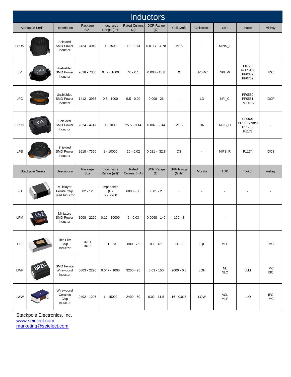|            | <b>Inductors</b>        |                                                    |                        |                                       |                       |                         |                    |                          |                   |                                            |                          |  |  |
|------------|-------------------------|----------------------------------------------------|------------------------|---------------------------------------|-----------------------|-------------------------|--------------------|--------------------------|-------------------|--------------------------------------------|--------------------------|--|--|
|            | <b>Stackpole Series</b> | Description                                        | Package<br>Size        | Inductance<br>Range (uH)              | Rated Current<br>(A)  | DCR Range<br>$(\Omega)$ | Coil Craft         | Coiltronics              | <b>NIC</b>        | Pulse                                      | Vishay                   |  |  |
| LDRS       |                         | Shielded<br><b>SMD Power</b><br>Inductor           | 2424 - 4949            | $1 - 1500$                            | $13 - 0.13$           | $0.0117 - 4.78$         | <b>MSS</b>         | $\overline{\phantom{a}}$ | MPIS_T            |                                            |                          |  |  |
| LP         |                         | Unshielded<br>SMD Power<br>Inductor                | 2618 - 7360            | $0.47 - 1000$                         | $40 - 0.1$            | $0.008 - 13.8$          | DO                 | <b>UP0.4C</b>            | NPI_W             | P0770<br>PO751/2<br>PF0382<br>PF0762       | IDC                      |  |  |
| LPC        |                         | Unshielded<br><b>SMD Power</b><br>Inductor         | 1412 - 3935            | $0.5 - 1000$                          | $9.5 - 0.09$          | $0.008 - 26$            |                    | LD                       | NPI_C             | PF0580<br>PF0581<br>PG0015                 | <b>IDCP</b>              |  |  |
| LPCS       |                         | Shielded<br><b>SMD Power</b><br>Inductor           | 2624 - 4747            | $1 - 1000$                            | $25.5 - 0.14$         | $0.007 - 9.44$          | <b>MSS</b>         | <b>DR</b>                | NPIS_H            | PF0601<br>PF1166/7/8/9<br>P1170 -<br>P1173 |                          |  |  |
| <b>LPS</b> |                         | Shielded<br><b>SMD Power</b><br>Inductor           | 2618 - 7360            | $1 - 10000$                           | $20 - 0.02$           | $0.021 - 32.8$          | DS                 | $\blacksquare$           | $NIPS_R$          | P1174                                      | <b>IDCS</b>              |  |  |
|            | <b>Stackpole Series</b> | Description                                        | Package<br><b>Size</b> | Inductance<br>Range (nH)*             | Rated<br>Current (mA) | DCR Range<br>$(\Omega)$ | SRF Range<br>(GHz) | Murata                   | <b>TDK</b>        | Toko                                       | Vishay                   |  |  |
| <b>FB</b>  |                         | Multilayer<br>Ferrite Chip<br><b>Bead Inductor</b> | $02 - 12$              | Impedance<br>$(\Omega)$<br>$5 - 2700$ | $6000 - 50$           | $0.01 - 2$              |                    |                          |                   |                                            |                          |  |  |
| LPM        |                         | Miniature<br><b>SMD Power</b><br>Inductor          | 1008 - 2220            | $0.12 - 10000$                        | $6 - 0.03$            | $0.0098 - 140$          | $100 - 8$          |                          |                   |                                            |                          |  |  |
| LTF        |                         | Thin Film<br>Chip<br>Inductor                      | 0201<br>0402           | $0.1 - 33$                            | $800 - 75$            | $0.1 - 4.5$             | $14 - 2$           | LQP                      | <b>MLF</b>        |                                            | <b>IMC</b>               |  |  |
| LWF        |                         | <b>SMD Ferrite</b><br>Wirewound<br>Inductor        | 0603 - 2220            | $0.047 - 1000$                        | $3200 - 25$           | $0.03 - 150$            | $2000 - 0.5$       | LQH                      | NL<br><b>NLC</b>  | LLM                                        | <b>IMC</b><br><b>ISC</b> |  |  |
| LWW        |                         | Wirewound<br>Ceramic<br>Chip<br>Inductor           | 0402 - 1206            | $1 - 15000$                           | $2400 - 50$           | $0.02 - 11.5$           | $16 - 0.015$       | LQW                      | <b>ACL</b><br>MLF | <b>LLQ</b>                                 | <b>IFC</b><br><b>IMC</b> |  |  |

Stackpole Electronics, Inc. [www.seielect.com](http://www.seielect.com/) [marketing@seielect.com](mailto:marketing@seielect.com)